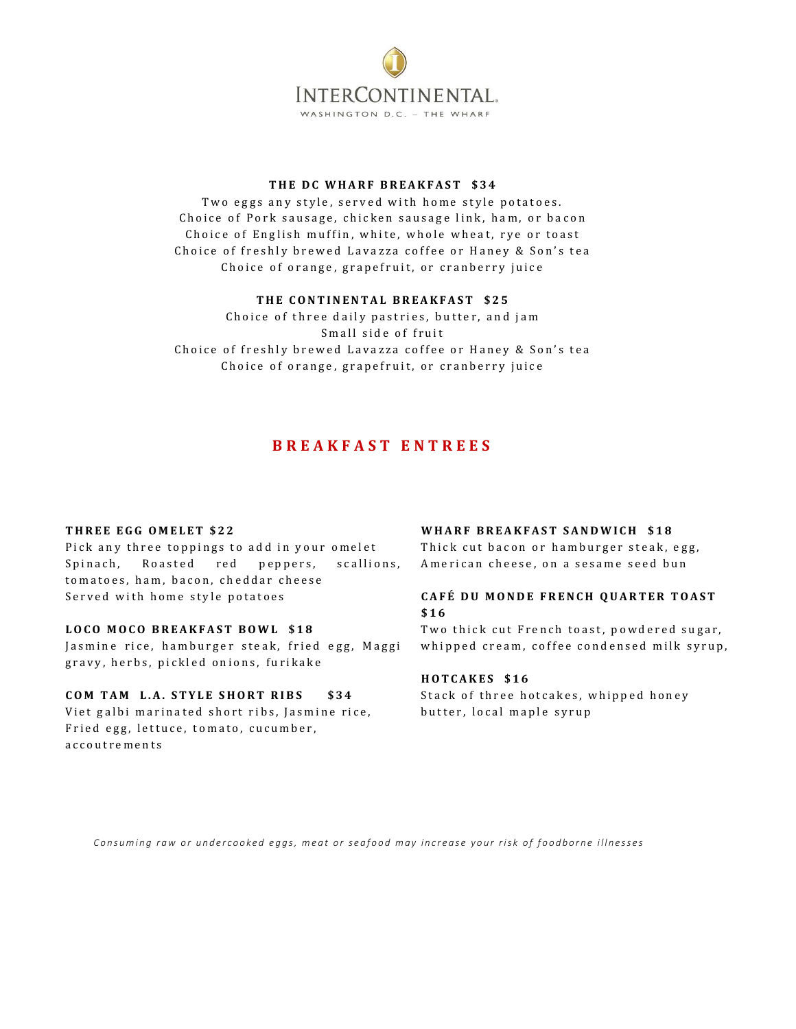

# THE DC WHARF BREAKFAST \$34

Two eggs any style, served with home style potatoes. Choice of Pork sausage, chicken sausage link, ham, or bacon Choice of English muffin, white, whole wheat, rye or toast Choice of freshly brewed Lavazza coffee or Haney & Son's tea Choice of orange, grapefruit, or cranberry juice

### **T H E C O N T I N E N T A L B R E A K F A S T \$ 2 5**

Choice of three daily pastries, butter, and jam Small side of fruit Choice of freshly brewed Lavazza coffee or Haney & Son's tea Choice of orange, grapefruit, or cranberry juice

# **B R E A K F A S T E N T R E E S**

#### **THREE EGG OMELET \$22**

Pick any three toppings to add in your omelet Spinach, Roasted red peppers, scallions, to matoes, ham, bacon, cheddar cheese Served with home style potatoes

# **L O C O M O C O B R E A K F A S T B O W L \$ 1 8**

Jasmine rice, hamburger steak, fried egg, Maggi gravy, herbs, pickled onions, furikake

#### **C O M T A M L . A . S T Y L E S H O R T R I B S \$ 3 4**

Viet galbi marinated short ribs, Jasmine rice, Fried egg, lettuce, tomato, cucumber, a c c o u t r e m e n t s

#### WHARF BREAKFAST SANDWICH \$18

Thick cut bacon or hamburger steak, egg, American cheese, on a sesame seed bun

### **C A F É D U M O N D E F R E N C H Q U A R T E R T O A S T \$ 1 6**

Two thick cut French toast, powdered sugar, whipped cream, coffee condensed milk syrup,

#### **H O T C A K E S \$ 1 6**

Stack of three hotcakes, whipped honey butter, local maple syrup

Consuming raw or undercooked eggs, meat or seafood may increase your risk of foodborne illnesses